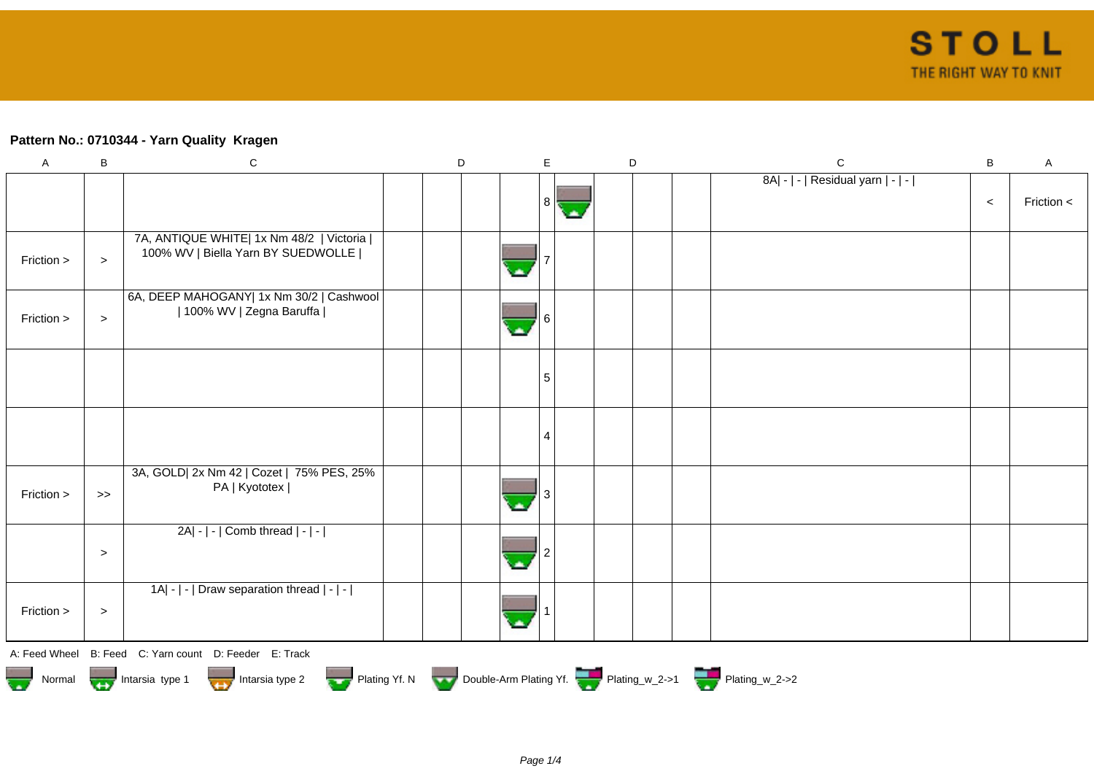## **Pattern No.: 0710344 - Yarn Quality Kragen**

| $\boldsymbol{\mathsf{A}}$             | $\, {\bf B}$ | ${\bf C}$                                                                        | D |    | E                 | $\mathsf D$ |  | ${\bf C}$                                                          | $\sf B$ | $\boldsymbol{\mathsf{A}}$ |
|---------------------------------------|--------------|----------------------------------------------------------------------------------|---|----|-------------------|-------------|--|--------------------------------------------------------------------|---------|---------------------------|
|                                       |              |                                                                                  |   |    |                   |             |  | 8A  -   -   Residual yarn   -   -                                  |         |                           |
|                                       |              |                                                                                  |   |    | 8<br><b>State</b> |             |  |                                                                    | $\,<$   | Friction $\lt$            |
|                                       |              |                                                                                  |   |    |                   |             |  |                                                                    |         |                           |
|                                       |              | 7A, ANTIQUE WHITE  1x Nm 48/2   Victoria  <br>100% WV   Biella Yarn BY SUEDWOLLE |   |    |                   |             |  |                                                                    |         |                           |
| Friction >                            | $\geq$       |                                                                                  |   |    |                   |             |  |                                                                    |         |                           |
|                                       |              | 6A, DEEP MAHOGANY  1x Nm 30/2   Cashwool                                         |   |    |                   |             |  |                                                                    |         |                           |
| Friction >                            | $\,>$        | 100% WV   Zegna Baruffa                                                          |   | o. |                   |             |  |                                                                    |         |                           |
|                                       |              |                                                                                  |   |    |                   |             |  |                                                                    |         |                           |
|                                       |              |                                                                                  |   |    |                   |             |  |                                                                    |         |                           |
|                                       |              |                                                                                  |   |    | 5                 |             |  |                                                                    |         |                           |
|                                       |              |                                                                                  |   |    |                   |             |  |                                                                    |         |                           |
|                                       |              |                                                                                  |   |    |                   |             |  |                                                                    |         |                           |
|                                       |              |                                                                                  |   |    |                   |             |  |                                                                    |         |                           |
|                                       |              | 3A, GOLD  2x Nm 42   Cozet   75% PES, 25%                                        |   |    |                   |             |  |                                                                    |         |                           |
| Friction >                            | $>$          | PA   Kyototex                                                                    |   |    |                   |             |  |                                                                    |         |                           |
|                                       |              |                                                                                  |   |    |                   |             |  |                                                                    |         |                           |
|                                       |              | 2A  -   -   Comb thread   -   -                                                  |   |    |                   |             |  |                                                                    |         |                           |
|                                       | $\geq$       |                                                                                  |   | o. |                   |             |  |                                                                    |         |                           |
|                                       |              |                                                                                  |   |    |                   |             |  |                                                                    |         |                           |
|                                       |              | 1A  -   -   Draw separation thread   -   -                                       |   |    |                   |             |  |                                                                    |         |                           |
| Friction >                            | $\,>$        |                                                                                  |   |    |                   |             |  |                                                                    |         |                           |
|                                       |              | A: Feed Wheel B: Feed C: Yarn count D: Feeder E: Track                           |   |    |                   |             |  |                                                                    |         |                           |
|                                       |              |                                                                                  |   |    |                   |             |  |                                                                    |         |                           |
| Normal <b>Details</b> Intarsia type 1 |              | Intarsia type 2                                                                  |   |    |                   |             |  | Plating Yf. N Double-Arm Plating Yf. Plating w_2->1 Plating W_2->2 |         |                           |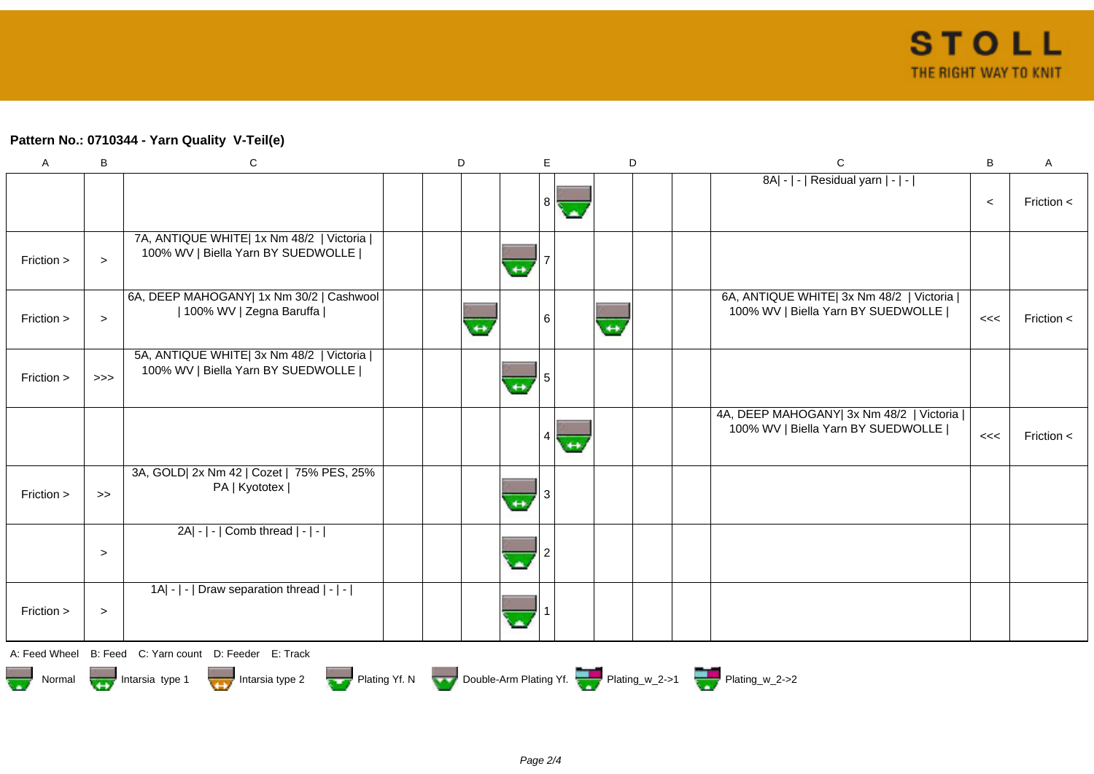## **Pattern No.: 0710344 - Yarn Quality V-Teil(e)**

| $\mathsf{A}$ | B                | ${\bf C}$                                                                        | D |                   | E                 | D                 | $\mathsf C$                                                                        | B     | $\mathsf A$  |
|--------------|------------------|----------------------------------------------------------------------------------|---|-------------------|-------------------|-------------------|------------------------------------------------------------------------------------|-------|--------------|
|              |                  |                                                                                  |   |                   | 8<br><b>State</b> |                   | 8A  -   -   Residual yarn   -   -                                                  | $\,<$ | Friction $<$ |
| Friction >   | $\geq$           | 7A, ANTIQUE WHITE  1x Nm 48/2   Victoria  <br>100% WV   Biella Yarn BY SUEDWOLLE |   | $\leftrightarrow$ |                   |                   |                                                                                    |       |              |
| Friction >   | $\, > \,$        | 6A, DEEP MAHOGANY  1x Nm 30/2   Cashwool<br>  100% WV   Zegna Baruffa            |   |                   | 6                 | $\leftrightarrow$ | 6A, ANTIQUE WHITE  3x Nm 48/2   Victoria  <br>100% WV   Biella Yarn BY SUEDWOLLE   | <<    | Friction $<$ |
| Friction >   | $>>>$            | 5A, ANTIQUE WHITE  3x Nm 48/2   Victoria  <br>100% WV   Biella Yarn BY SUEDWOLLE |   | $\leftrightarrow$ |                   |                   |                                                                                    |       |              |
|              |                  |                                                                                  |   |                   | $\leftrightarrow$ |                   | 4A, DEEP MAHOGANY  3x Nm 48/2   Victoria    <br>100% WV   Biella Yarn BY SUEDWOLLE | <<    | Friction <   |
| Friction >   | $\boldsymbol{>}$ | 3A, GOLD  2x Nm 42   Cozet   75% PES, 25%<br>PA   Kyototex                       |   | $\leftrightarrow$ |                   |                   |                                                                                    |       |              |
|              | $\geq$           | 2A  -   -   Comb thread   -   -                                                  |   |                   |                   |                   |                                                                                    |       |              |
| Friction >   | $\,>$            | 1A  -   -   Draw separation thread   -   -                                       |   |                   |                   |                   |                                                                                    |       |              |
|              |                  | A: Feed Wheel B: Feed C: Yarn count D: Feeder E: Track                           |   |                   |                   |                   |                                                                                    |       |              |
| Normal       |                  | Intarsia type 1<br>$\frac{1}{2}$ Intarsia type 2                                 |   |                   |                   |                   | Plating Yf. N Double-Arm Plating Yf. Plating_w_2->1 Plating_w_2->2                 |       |              |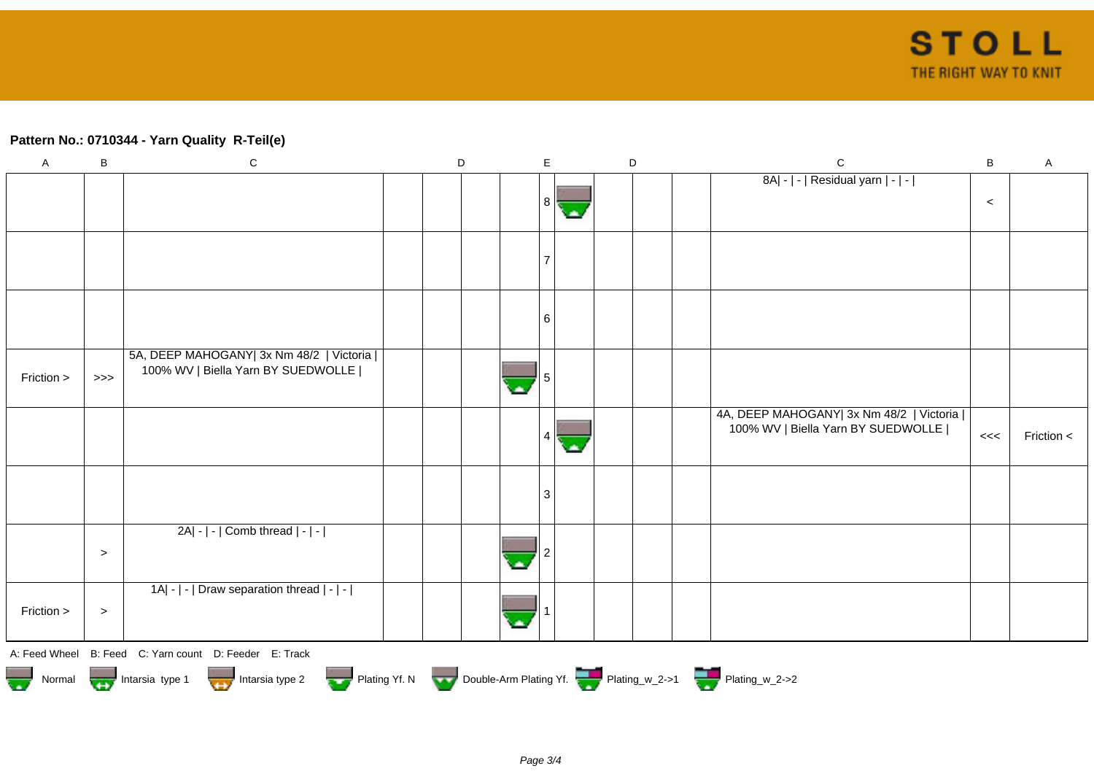## **Pattern No.: 0710344 - Yarn Quality R-Teil(e)**

| $\mathsf A$ | B         | ${\bf C}$                                                                                             | $\mathsf D$ | E            | $\mathsf D$ | $\mathsf C$                             | $\, {\bf B}$ | $\mathsf{A}$ |
|-------------|-----------|-------------------------------------------------------------------------------------------------------|-------------|--------------|-------------|-----------------------------------------|--------------|--------------|
|             |           |                                                                                                       |             |              |             | 8A  -   -   Residual yarn   -   -       |              |              |
|             |           |                                                                                                       |             | -8 II<br>ok. |             |                                         | $\,<\,$      |              |
|             |           |                                                                                                       |             |              |             |                                         |              |              |
|             |           |                                                                                                       |             | 7            |             |                                         |              |              |
|             |           |                                                                                                       |             |              |             |                                         |              |              |
|             |           |                                                                                                       |             |              |             |                                         |              |              |
|             |           |                                                                                                       |             | -6           |             |                                         |              |              |
|             |           | 5A, DEEP MAHOGANY  3x Nm 48/2   Victoria                                                              |             |              |             |                                         |              |              |
| Friction >  | >>        | 100% WV   Biella Yarn BY SUEDWOLLE                                                                    |             |              |             |                                         |              |              |
|             |           |                                                                                                       |             |              |             | 4A, DEEP MAHOGANY 3x Nm 48/2   Victoria |              |              |
|             |           |                                                                                                       |             | 4            |             | 100% WV   Biella Yarn BY SUEDWOLLE      | <<           | Friction <   |
|             |           |                                                                                                       |             |              |             |                                         |              |              |
|             |           |                                                                                                       |             |              |             |                                         |              |              |
|             |           |                                                                                                       |             | 3            |             |                                         |              |              |
|             |           | 2A  -   -   Comb thread   -   -                                                                       |             |              |             |                                         |              |              |
|             | $\,>$     |                                                                                                       |             |              |             |                                         |              |              |
|             |           |                                                                                                       |             |              |             |                                         |              |              |
|             |           | 1A  -   -   Draw separation thread   -   -                                                            |             |              |             |                                         |              |              |
| Friction >  | $\, > \,$ |                                                                                                       |             |              |             |                                         |              |              |
|             |           | A: Feed Wheel B: Feed C: Yarn count D: Feeder E: Track                                                |             |              |             |                                         |              |              |
|             |           | Normal Montain Strategy Intarsia type 2 Plating Yf. N Double-Arm Plating Yf. N Double-Arm Plating Yf. |             |              |             |                                         |              |              |
|             |           |                                                                                                       |             |              |             |                                         |              |              |